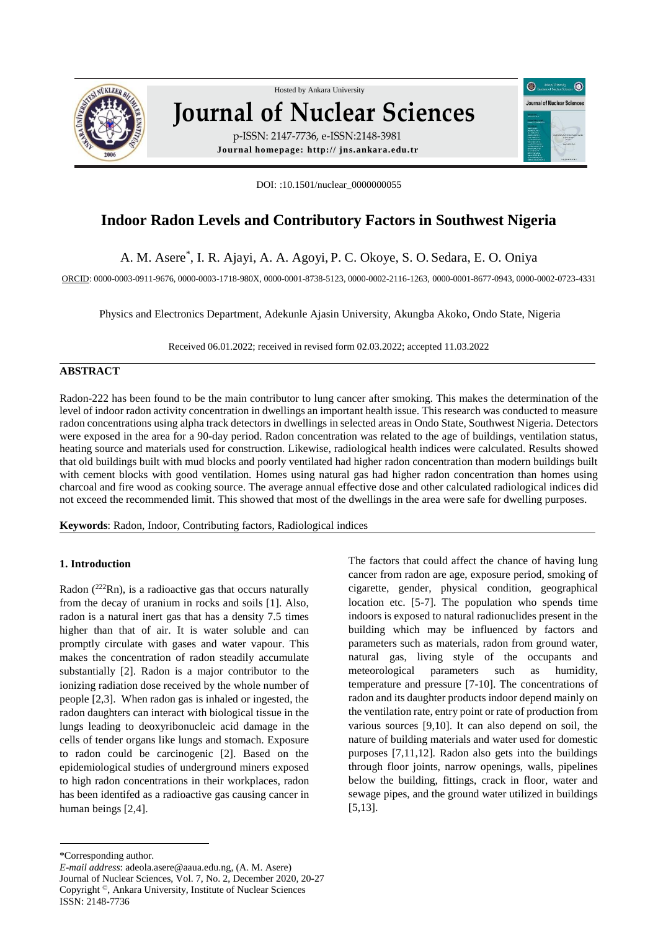

# Hosted by Ankara Unive[rsity](http://www.sciencedirect.com/science/journal/01678809)  **Journal of Nuclear Sciences** p-ISSN: 2147-7736, e-ISSN:2148-3981

**Journal homepage: http:// jns.ankara.edu.tr**

DOI: :10.1501/nuclear\_0000000055

## **Indoor Radon Levels and Contributory Factors in Southwest Nigeria**

A. M. Asere\* , I. R. Ajayi, A. A. Agoyi, P. C. Okoye, S. O. Sedara, E. O. Oniya

ORCID: 0000-0003-0911-9676, 0000-0003-1718-980X, 0000-0001-8738-5123, 0000-0002-2116-1263, 0000-0001-8677-0943, 0000-0002-0723-4331

Physics and Electronics Department, Adekunle Ajasin University, Akungba Akoko, Ondo State, Nigeria

Received 06.01.2022; received in revised form 02.03.2022; accepted 11.03.2022

## **ABSTRACT**

Radon-222 has been found to be the main contributor to lung cancer after smoking. This makes the determination of the level of indoor radon activity concentration in dwellings an important health issue. This research was conducted to measure radon concentrations using alpha track detectors in dwellings in selected areas in Ondo State, Southwest Nigeria. Detectors were exposed in the area for a 90-day period. Radon concentration was related to the age of buildings, ventilation status, heating source and materials used for construction. Likewise, radiological health indices were calculated. Results showed that old buildings built with mud blocks and poorly ventilated had higher radon concentration than modern buildings built with cement blocks with good ventilation. Homes using natural gas had higher radon concentration than homes using charcoal and fire wood as cooking source. The average annual effective dose and other calculated radiological indices did not exceed the recommended limit. This showed that most of the dwellings in the area were safe for dwelling purposes.

**Keywords**: Radon, Indoor, Contributing factors, Radiological indices

#### **1. Introduction**

Radon  $(^{222}Rn)$ , is a radioactive gas that occurs naturally from the decay of uranium in rocks and soils [1]. Also, radon is a natural inert gas that has a density 7.5 times higher than that of air. It is water soluble and can promptly circulate with gases and water vapour. This makes the concentration of radon steadily accumulate substantially [2]. Radon is a major contributor to the ionizing radiation dose received by the whole number of people [2,3]. When radon gas is inhaled or ingested, the radon daughters can interact with biological tissue in the lungs leading to deoxyribonucleic acid damage in the cells of tender organs like lungs and stomach. Exposure to radon could be carcinogenic [2]. Based on the epidemiological studies of underground miners exposed to high radon concentrations in their workplaces, radon has been identifed as a radioactive gas causing cancer in human beings [2,4].

 $\bigcirc$ .

**Journal of Nuclear Scienc** 

The factors that could affect the chance of having lung cancer from radon are age, exposure period, smoking of cigarette, gender, physical condition, geographical location etc. [5-7]. The population who spends time indoors is exposed to natural radionuclides present in the building which may be influenced by factors and parameters such as materials, radon from ground water, natural gas, living style of the occupants and meteorological parameters such as humidity, temperature and pressure [7-10]. The concentrations of radon and its daughter products indoor depend mainly on the ventilation rate, entry point or rate of production from various sources [9,10]. It can also depend on soil, the nature of building materials and water used for domestic purposes [7,11,12]. Radon also gets into the buildings through floor joints, narrow openings, walls, pipelines below the building, fittings, crack in floor, water and sewage pipes, and the ground water utilized in buildings [5,13].

<sup>\*</sup>Corresponding author.

*E-mail address*: adeola.asere@aaua.edu.ng, (A. M. Asere) Journal of Nuclear Sciences, Vol. 7, No. 2, December 2020, 20-27 Copyright ©, Ankara University, Institute of Nuclear Sciences ISSN: 2148-7736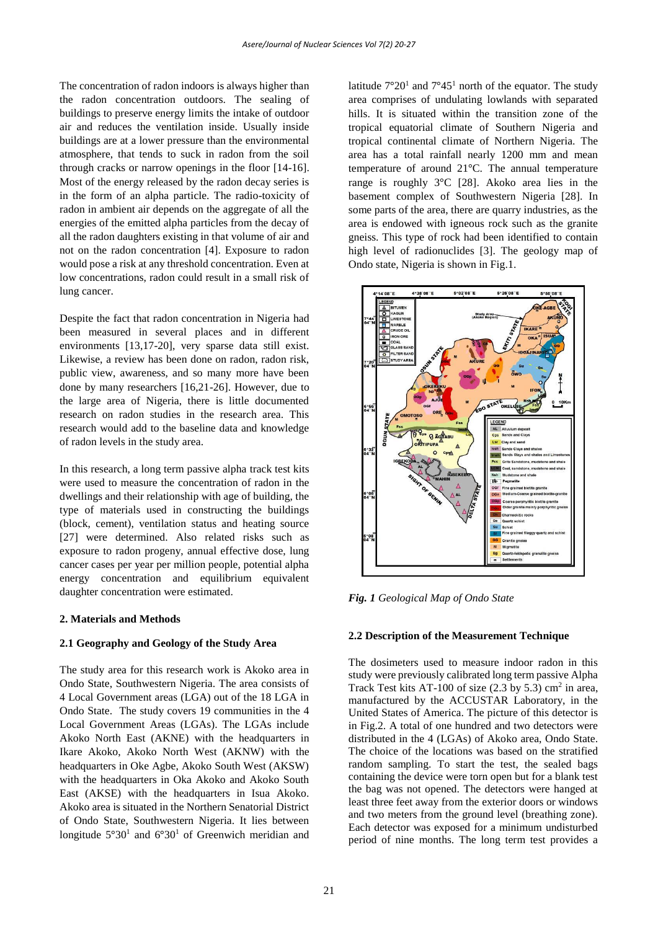The concentration of radon indoors is always higher than the radon concentration outdoors. The sealing of buildings to preserve energy limits the intake of outdoor air and reduces the ventilation inside. Usually inside buildings are at a lower pressure than the environmental atmosphere, that tends to suck in radon from the soil through cracks or narrow openings in the floor [14-16]. Most of the energy released by the radon decay series is in the form of an alpha particle. The radio-toxicity of radon in ambient air depends on the aggregate of all the energies of the emitted alpha particles from the decay of all the radon daughters existing in that volume of air and not on the radon concentration [4]. Exposure to radon would pose a risk at any threshold concentration. Even at low concentrations, radon could result in a small risk of lung cancer.

Despite the fact that radon concentration in Nigeria had been measured in several places and in different environments [13,17-20], very sparse data still exist. Likewise, a review has been done on radon, radon risk, public view, awareness, and so many more have been done by many researchers [16,21-26]. However, due to the large area of Nigeria, there is little documented research on radon studies in the research area. This research would add to the baseline data and knowledge of radon levels in the study area.

In this research, a long term passive alpha track test kits were used to measure the concentration of radon in the dwellings and their relationship with age of building, the type of materials used in constructing the buildings (block, cement), ventilation status and heating source [27] were determined. Also related risks such as exposure to radon progeny, annual effective dose, lung cancer cases per year per million people, potential alpha energy concentration and equilibrium equivalent daughter concentration were estimated.

#### **2. Materials and Methods**

#### **2.1 Geography and Geology of the Study Area**

The study area for this research work is Akoko area in Ondo State, Southwestern Nigeria. The area consists of 4 Local Government areas (LGA) out of the 18 LGA in Ondo State. The study covers 19 communities in the 4 Local Government Areas (LGAs). The LGAs include Akoko North East (AKNE) with the headquarters in Ikare Akoko, Akoko North West (AKNW) with the headquarters in Oke Agbe, Akoko South West (AKSW) with the headquarters in Oka Akoko and Akoko South East (AKSE) with the headquarters in Isua Akoko. Akoko area is situated in the Northern Senatorial District of Ondo State, Southwestern Nigeria. It lies between longitude  $5^{\circ}30^1$  and  $6^{\circ}30^1$  of Greenwich meridian and

latitude  $7^{\circ}20^{1}$  and  $7^{\circ}45^{1}$  north of the equator. The study area comprises of undulating lowlands with separated hills. It is situated within the transition zone of the tropical equatorial climate of Southern Nigeria and tropical continental climate of Northern Nigeria. The area has a total rainfall nearly 1200 mm and mean temperature of around 21°C. The annual temperature range is roughly 3°C [28]. Akoko area lies in the basement complex of Southwestern Nigeria [28]. In some parts of the area, there are quarry industries, as the area is endowed with igneous rock such as the granite gneiss. This type of rock had been identified to contain high level of radionuclides [3]. The geology map of Ondo state, Nigeria is shown in Fig.1.



*Fig. 1 Geological Map of Ondo State*

#### **2.2 Description of the Measurement Technique**

The dosimeters used to measure indoor radon in this study were previously calibrated long term passive Alpha Track Test kits AT-100 of size  $(2.3 \text{ by } 5.3)$  cm<sup>2</sup> in area, manufactured by the ACCUSTAR Laboratory, in the United States of America. The picture of this detector is in Fig.2. A total of one hundred and two detectors were distributed in the 4 (LGAs) of Akoko area, Ondo State. The choice of the locations was based on the stratified random sampling. To start the test, the sealed bags containing the device were torn open but for a blank test the bag was not opened. The detectors were hanged at least three feet away from the exterior doors or windows and two meters from the ground level (breathing zone). Each detector was exposed for a minimum undisturbed period of nine months. The long term test provides a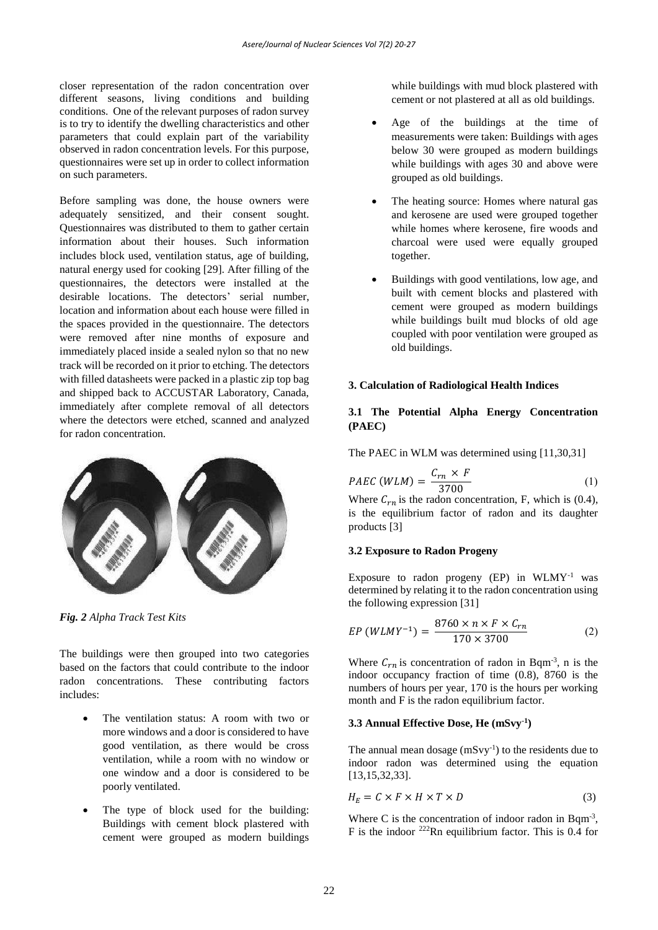closer representation of the radon concentration over different seasons, living conditions and building conditions. One of the relevant purposes of radon survey is to try to identify the dwelling characteristics and other parameters that could explain part of the variability observed in radon concentration levels. For this purpose, questionnaires were set up in order to collect information on such parameters.

Before sampling was done, the house owners were adequately sensitized, and their consent sought. Questionnaires was distributed to them to gather certain information about their houses. Such information includes block used, ventilation status, age of building, natural energy used for cooking [29]. After filling of the questionnaires, the detectors were installed at the desirable locations. The detectors' serial number, location and information about each house were filled in the spaces provided in the questionnaire. The detectors were removed after nine months of exposure and immediately placed inside a sealed nylon so that no new track will be recorded on it prior to etching. The detectors with filled datasheets were packed in a plastic zip top bag and shipped back to ACCUSTAR Laboratory, Canada, immediately after complete removal of all detectors where the detectors were etched, scanned and analyzed for radon concentration.



*Fig. 2 Alpha Track Test Kits*

The buildings were then grouped into two categories based on the factors that could contribute to the indoor radon concentrations. These contributing factors includes:

- The ventilation status: A room with two or more windows and a door is considered to have good ventilation, as there would be cross ventilation, while a room with no window or one window and a door is considered to be poorly ventilated.
- The type of block used for the building: Buildings with cement block plastered with cement were grouped as modern buildings

while buildings with mud block plastered with cement or not plastered at all as old buildings.

- Age of the buildings at the time of measurements were taken: Buildings with ages below 30 were grouped as modern buildings while buildings with ages 30 and above were grouped as old buildings.
- The heating source: Homes where natural gas and kerosene are used were grouped together while homes where kerosene, fire woods and charcoal were used were equally grouped together.
- Buildings with good ventilations, low age, and built with cement blocks and plastered with cement were grouped as modern buildings while buildings built mud blocks of old age coupled with poor ventilation were grouped as old buildings.

## **3. Calculation of Radiological Health Indices**

## **3.1 The Potential Alpha Energy Concentration (PAEC)**

The PAEC in WLM was determined using [11,30,31]

$$
PAEC (WLM) = \frac{C_{rn} \times F}{3700} \tag{1}
$$

Where  $C_{rn}$  is the radon concentration, F, which is (0.4), is the equilibrium factor of radon and its daughter products [3]

#### **3.2 Exposure to Radon Progeny**

Exposure to radon progeny (EP) in WLMY-1 was determined by relating it to the radon concentration using the following expression [31]

$$
EP (WLMY^{-1}) = \frac{8760 \times n \times F \times C_{rn}}{170 \times 3700}
$$
 (2)

Where  $C_{rn}$  is concentration of radon in Bqm<sup>-3</sup>, n is the indoor occupancy fraction of time (0.8), 8760 is the numbers of hours per year, 170 is the hours per working month and F is the radon equilibrium factor.

## **3.3 Annual Effective Dose, He (mSvy-1 )**

The annual mean dosage  $(mSvy^{-1})$  to the residents due to indoor radon was determined using the equation [13,15,32,33].

$$
H_E = C \times F \times H \times T \times D \tag{3}
$$

Where C is the concentration of indoor radon in Bqm<sup>-3</sup>, F is the indoor  $^{222}$ Rn equilibrium factor. This is 0.4 for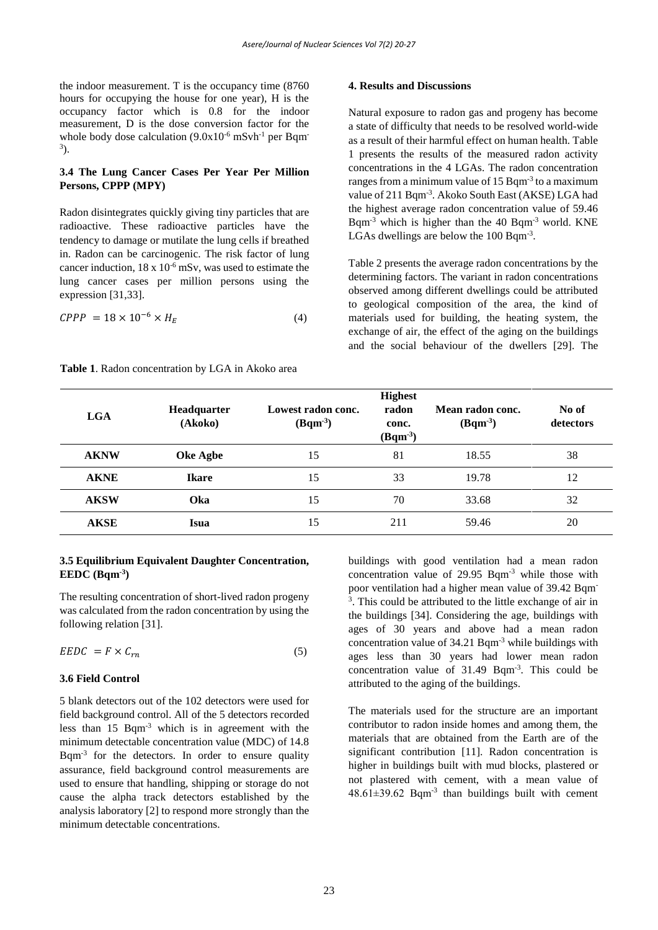the indoor measurement. T is the occupancy time (8760 hours for occupying the house for one year), H is the occupancy factor which is 0.8 for the indoor measurement, D is the dose conversion factor for the whole body dose calculation  $(9.0x10^{-6} \text{ mSv}^1)$  per Bqm<sup>-</sup> 3 ).

## **3.4 The Lung Cancer Cases Per Year Per Million Persons, CPPP (MPY)**

Radon disintegrates quickly giving tiny particles that are radioactive. These radioactive particles have the tendency to damage or mutilate the lung cells if breathed in. Radon can be carcinogenic. The risk factor of lung cancer induction,  $18 \times 10^{-6}$  mSv, was used to estimate the lung cancer cases per million persons using the expression [31,33].

$$
CPPP = 18 \times 10^{-6} \times H_E \tag{4}
$$

## **Table 1**. Radon concentration by LGA in Akoko area

#### **4. Results and Discussions**

Natural exposure to radon gas and progeny has become a state of difficulty that needs to be resolved world-wide as a result of their harmful effect on human health. Table 1 presents the results of the measured radon activity concentrations in the 4 LGAs. The radon concentration ranges from a minimum value of  $15$  Bqm<sup>-3</sup> to a maximum value of 211 Bqm<sup>-3</sup>. Akoko South East (AKSE) LGA had the highest average radon concentration value of 59.46 Bqm-3 which is higher than the 40 Bqm-3 world. KNE LGAs dwellings are below the 100 Bqm<sup>-3</sup>.

Table 2 presents the average radon concentrations by the determining factors. The variant in radon concentrations observed among different dwellings could be attributed to geological composition of the area, the kind of materials used for building, the heating system, the exchange of air, the effect of the aging on the buildings and the social behaviour of the dwellers [29]. The

| <b>LGA</b>  | Headquarter<br>(Akoko) | Lowest radon conc.<br>$(Bqm^3)$ | <b>Highest</b><br>radon<br>conc.<br>$(Bqm^3)$ | Mean radon conc.<br>$(Bqm^3)$ | No of<br>detectors |
|-------------|------------------------|---------------------------------|-----------------------------------------------|-------------------------------|--------------------|
| <b>AKNW</b> | Oke Agbe               | 15                              | 81                                            | 18.55                         | 38                 |
| <b>AKNE</b> | <b>Ikare</b>           | 15                              | 33                                            | 19.78                         | 12                 |
| <b>AKSW</b> | Oka                    | 15                              | 70                                            | 33.68                         | 32                 |
| <b>AKSE</b> | Isua                   | 15                              | 211                                           | 59.46                         | 20                 |

## **3.5 Equilibrium Equivalent Daughter Concentration, EEDC (Bqm-3 )**

The resulting concentration of short-lived radon progeny was calculated from the radon concentration by using the following relation [31].

$$
EEDC = F \times C_{rn} \tag{5}
$$

#### **3.6 Field Control**

5 blank detectors out of the 102 detectors were used for field background control. All of the 5 detectors recorded less than 15 Bqm-3 which is in agreement with the minimum detectable concentration value (MDC) of 14.8 Bqm-3 for the detectors. In order to ensure quality assurance, field background control measurements are used to ensure that handling, shipping or storage do not cause the alpha track detectors established by the analysis laboratory [2] to respond more strongly than the minimum detectable concentrations.

buildings with good ventilation had a mean radon concentration value of 29.95 Bqm-3 while those with poor ventilation had a higher mean value of 39.42 Bqm 3 . This could be attributed to the little exchange of air in the buildings [34]. Considering the age, buildings with ages of 30 years and above had a mean radon concentration value of 34.21 Bqm-3 while buildings with ages less than 30 years had lower mean radon concentration value of 31.49 Bqm-3 . This could be attributed to the aging of the buildings.

The materials used for the structure are an important contributor to radon inside homes and among them, the materials that are obtained from the Earth are of the significant contribution [11]. Radon concentration is higher in buildings built with mud blocks, plastered or not plastered with cement, with a mean value of  $48.61 \pm 39.62$  Bqm<sup>-3</sup> than buildings built with cement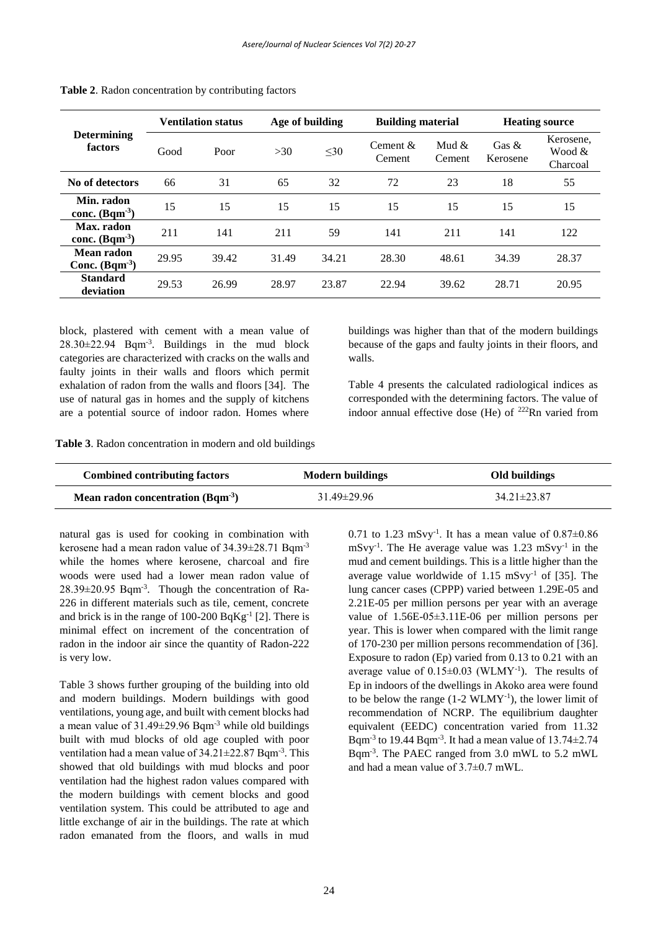| <b>Determining</b><br>factors | <b>Ventilation status</b> |       | Age of building |           | <b>Building material</b> |                    | <b>Heating source</b> |                                 |
|-------------------------------|---------------------------|-------|-----------------|-----------|--------------------------|--------------------|-----------------------|---------------------------------|
|                               | Good                      | Poor  | >30             | $\leq 30$ | Cement $&$<br>Cement     | Mud $\&$<br>Cement | Gas $\&$<br>Kerosene  | Kerosene,<br>Wood &<br>Charcoal |
| No of detectors               | 66                        | 31    | 65              | 32        | 72                       | 23                 | 18                    | 55                              |
| Min. radon<br>conc. $(Bqm^3)$ | 15                        | 15    | 15              | 15        | 15                       | 15                 | 15                    | 15                              |
| Max. radon<br>conc. $(Bqm^3)$ | 211                       | 141   | 211             | 59        | 141                      | 211                | 141                   | 122                             |
| Mean radon<br>Conc. $(Bqm^3)$ | 29.95                     | 39.42 | 31.49           | 34.21     | 28.30                    | 48.61              | 34.39                 | 28.37                           |
| <b>Standard</b><br>deviation  | 29.53                     | 26.99 | 28.97           | 23.87     | 22.94                    | 39.62              | 28.71                 | 20.95                           |

**Table 2**. Radon concentration by contributing factors

block, plastered with cement with a mean value of  $28.30 \pm 22.94$  Bqm<sup>-3</sup>. Buildings in the mud block categories are characterized with cracks on the walls and faulty joints in their walls and floors which permit exhalation of radon from the walls and floors [34]. The use of natural gas in homes and the supply of kitchens are a potential source of indoor radon. Homes where

buildings was higher than that of the modern buildings because of the gaps and faulty joints in their floors, and walls.

Table 4 presents the calculated radiological indices as corresponded with the determining factors. The value of indoor annual effective dose (He) of  $^{222}$ Rn varied from

**Table 3**. Radon concentration in modern and old buildings

| <b>Combined contributing factors</b>               | Modern buildings  | Old buildings |  |  |
|----------------------------------------------------|-------------------|---------------|--|--|
| <b>Mean radon concentration (Bqm<sup>-3</sup>)</b> | $31.49 \pm 29.96$ | 34.21±23.87   |  |  |

natural gas is used for cooking in combination with kerosene had a mean radon value of 34.39±28.71 Bqm-3 while the homes where kerosene, charcoal and fire woods were used had a lower mean radon value of 28.39±20.95 Bqm-3 . Though the concentration of Ra-226 in different materials such as tile, cement, concrete and brick is in the range of  $100-200$  BqKg<sup>-1</sup> [2]. There is minimal effect on increment of the concentration of radon in the indoor air since the quantity of Radon-222 is very low.

Table 3 shows further grouping of the building into old and modern buildings. Modern buildings with good ventilations, young age, and built with cement blocks had a mean value of  $31.49 \pm 29.96$  Bqm<sup>-3</sup> while old buildings built with mud blocks of old age coupled with poor ventilation had a mean value of 34.21±22.87 Bqm<sup>-3</sup>. This showed that old buildings with mud blocks and poor ventilation had the highest radon values compared with the modern buildings with cement blocks and good ventilation system. This could be attributed to age and little exchange of air in the buildings. The rate at which radon emanated from the floors, and walls in mud

0.71 to 1.23 mSvy<sup>-1</sup>. It has a mean value of  $0.87 \pm 0.86$  $mSvy^{-1}$ . The He average value was 1.23 mSvy<sup>-1</sup> in the mud and cement buildings. This is a little higher than the average value worldwide of  $1.15 \text{ mS}$ vv<sup>-1</sup> of [35]. The lung cancer cases (CPPP) varied between 1.29E-05 and 2.21E-05 per million persons per year with an average value of 1.56E-05±3.11E-06 per million persons per year. This is lower when compared with the limit range of 170-230 per million persons recommendation of [36]. Exposure to radon (Ep) varied from 0.13 to 0.21 with an average value of  $0.15 \pm 0.03$  (WLMY<sup>-1</sup>). The results of Ep in indoors of the dwellings in Akoko area were found to be below the range  $(1-2 \text{ WLMY}^{-1})$ , the lower limit of recommendation of NCRP. The equilibrium daughter equivalent (EEDC) concentration varied from 11.32 Bqm<sup>-3</sup> to 19.44 Bqm<sup>-3</sup>. It had a mean value of  $13.74 \pm 2.74$ Bqm-3 . The PAEC ranged from 3.0 mWL to 5.2 mWL and had a mean value of  $3.7\pm0.7$  mWL.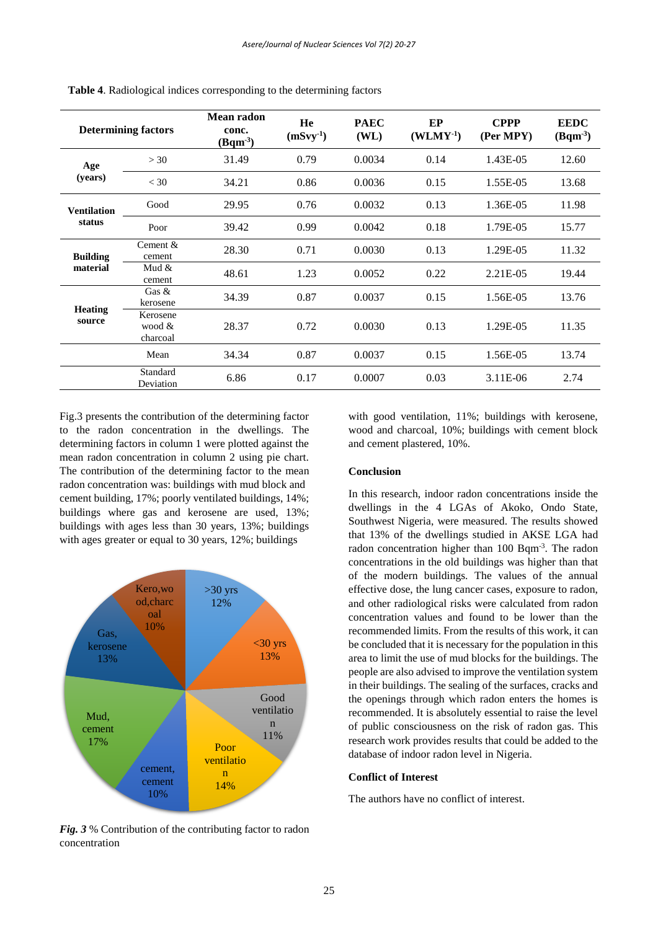| <b>Determining factors</b>   |                                | Mean radon<br>conc.<br>$(Bqm^3)$ | He<br>$(mSvy-1)$ | <b>PAEC</b><br>(WL) | EP<br>$(WLMY-1)$ | <b>CPPP</b><br>(Per MPY) | <b>EEDC</b><br>$(Bqm^3)$ |
|------------------------------|--------------------------------|----------------------------------|------------------|---------------------|------------------|--------------------------|--------------------------|
| Age<br>(years)               | >30                            | 31.49                            | 0.79             | 0.0034              | 0.14             | 1.43E-05                 | 12.60                    |
|                              | $<$ 30                         | 34.21                            | 0.86             | 0.0036              | 0.15             | 1.55E-05                 | 13.68                    |
| <b>Ventilation</b><br>status | Good                           | 29.95                            | 0.76             | 0.0032              | 0.13             | 1.36E-05                 | 11.98                    |
|                              | Poor                           | 39.42                            | 0.99             | 0.0042              | 0.18             | 1.79E-05                 | 15.77                    |
| <b>Building</b><br>material  | Cement &<br>cement             | 28.30                            | 0.71             | 0.0030              | 0.13             | 1.29E-05                 | 11.32                    |
|                              | Mud $&$<br>cement              | 48.61                            | 1.23             | 0.0052              | 0.22             | 2.21E-05                 | 19.44                    |
| <b>Heating</b><br>source     | Gas $&$<br>kerosene            | 34.39                            | 0.87             | 0.0037              | 0.15             | 1.56E-05                 | 13.76                    |
|                              | Kerosene<br>wood &<br>charcoal | 28.37                            | 0.72             | 0.0030              | 0.13             | 1.29E-05                 | 11.35                    |
|                              | Mean                           | 34.34                            | 0.87             | 0.0037              | 0.15             | 1.56E-05                 | 13.74                    |
|                              | Standard<br>Deviation          | 6.86                             | 0.17             | 0.0007              | 0.03             | 3.11E-06                 | 2.74                     |

**Table 4**. Radiological indices corresponding to the determining factors

Fig.3 presents the contribution of the determining factor to the radon concentration in the dwellings. The determining factors in column 1 were plotted against the mean radon concentration in column 2 using pie chart. The contribution of the determining factor to the mean radon concentration was: buildings with mud block and cement building, 17%; poorly ventilated buildings, 14%; buildings where gas and kerosene are used, 13%; buildings with ages less than 30 years, 13%; buildings with ages greater or equal to 30 years, 12%; buildings



*Fig. 3* % Contribution of the contributing factor to radon concentration

with good ventilation, 11%; buildings with kerosene, wood and charcoal, 10%; buildings with cement block and cement plastered, 10%.

#### **Conclusion**

In this research, indoor radon concentrations inside the dwellings in the 4 LGAs of Akoko, Ondo State, Southwest Nigeria, were measured. The results showed that 13% of the dwellings studied in AKSE LGA had radon concentration higher than  $100$  Bqm<sup>-3</sup>. The radon concentrations in the old buildings was higher than that of the modern buildings. The values of the annual effective dose, the lung cancer cases, exposure to radon, and other radiological risks were calculated from radon concentration values and found to be lower than the recommended limits. From the results of this work, it can be concluded that it is necessary for the population in this area to limit the use of mud blocks for the buildings. The people are also advised to improve the ventilation system in their buildings. The sealing of the surfaces, cracks and the openings through which radon enters the homes is recommended. It is absolutely essential to raise the level of public consciousness on the risk of radon gas. This research work provides results that could be added to the database of indoor radon level in Nigeria.

#### **Conflict of Interest**

The authors have no conflict of interest.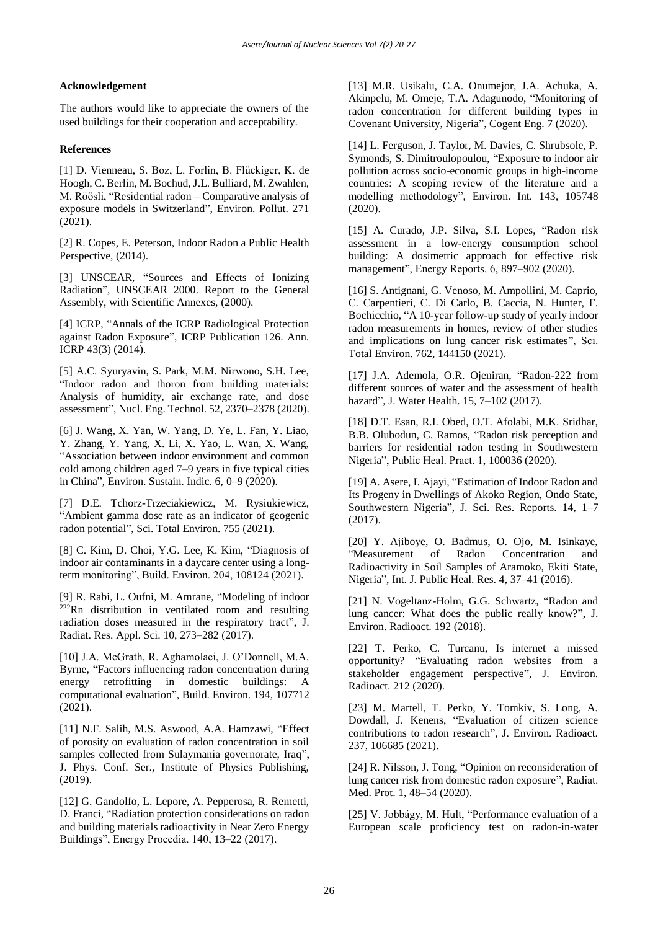## **Acknowledgement**

The authors would like to appreciate the owners of the used buildings for their cooperation and acceptability.

## **References**

[1] D. Vienneau, S. Boz, L. Forlin, B. Flückiger, K. de Hoogh, C. Berlin, M. Bochud, J.L. Bulliard, M. Zwahlen, M. Röösli, "Residential radon – Comparative analysis of exposure models in Switzerland", Environ. Pollut. 271 (2021).

[2] R. Copes, E. Peterson, Indoor Radon a Public Health Perspective, (2014).

[3] UNSCEAR, "Sources and Effects of Ionizing Radiation", UNSCEAR 2000. Report to the General Assembly, with Scientific Annexes, (2000).

[4] ICRP, "Annals of the ICRP Radiological Protection against Radon Exposure", ICRP Publication 126. Ann. ICRP 43(3) (2014).

[5] A.C. Syuryavin, S. Park, M.M. Nirwono, S.H. Lee, "Indoor radon and thoron from building materials: Analysis of humidity, air exchange rate, and dose assessment", Nucl. Eng. Technol. 52, 2370–2378 (2020).

[6] J. Wang, X. Yan, W. Yang, D. Ye, L. Fan, Y. Liao, Y. Zhang, Y. Yang, X. Li, X. Yao, L. Wan, X. Wang, "Association between indoor environment and common cold among children aged 7–9 years in five typical cities in China", Environ. Sustain. Indic. 6, 0–9 (2020).

[7] D.E. Tchorz-Trzeciakiewicz, M. Rysiukiewicz, "Ambient gamma dose rate as an indicator of geogenic radon potential", Sci. Total Environ. 755 (2021).

[8] C. Kim, D. Choi, Y.G. Lee, K. Kim, "Diagnosis of indoor air contaminants in a daycare center using a longterm monitoring", Build. Environ. 204, 108124 (2021).

[9] R. Rabi, L. Oufni, M. Amrane, "Modeling of indoor  $222$ Rn distribution in ventilated room and resulting radiation doses measured in the respiratory tract", J. Radiat. Res. Appl. Sci. 10, 273–282 (2017).

[10] J.A. McGrath, R. Aghamolaei, J. O'Donnell, M.A. Byrne, "Factors influencing radon concentration during energy retrofitting in domestic buildings: A computational evaluation", Build. Environ. 194, 107712 (2021).

[11] N.F. Salih, M.S. Aswood, A.A. Hamzawi, "Effect of porosity on evaluation of radon concentration in soil samples collected from Sulaymania governorate, Iraq", J. Phys. Conf. Ser., Institute of Physics Publishing, (2019).

[12] G. Gandolfo, L. Lepore, A. Pepperosa, R. Remetti, D. Franci, "Radiation protection considerations on radon and building materials radioactivity in Near Zero Energy Buildings", Energy Procedia. 140, 13–22 (2017).

[13] M.R. Usikalu, C.A. Onumejor, J.A. Achuka, A. Akinpelu, M. Omeje, T.A. Adagunodo, "Monitoring of radon concentration for different building types in Covenant University, Nigeria", Cogent Eng. 7 (2020).

[14] L. Ferguson, J. Taylor, M. Davies, C. Shrubsole, P. Symonds, S. Dimitroulopoulou, "Exposure to indoor air pollution across socio-economic groups in high-income countries: A scoping review of the literature and a modelling methodology", Environ. Int. 143, 105748 (2020).

[15] A. Curado, J.P. Silva, S.I. Lopes, "Radon risk assessment in a low-energy consumption school building: A dosimetric approach for effective risk management", Energy Reports. 6, 897–902 (2020).

[16] S. Antignani, G. Venoso, M. Ampollini, M. Caprio, C. Carpentieri, C. Di Carlo, B. Caccia, N. Hunter, F. Bochicchio, "A 10-year follow-up study of yearly indoor radon measurements in homes, review of other studies and implications on lung cancer risk estimates", Sci. Total Environ. 762, 144150 (2021).

[17] J.A. Ademola, O.R. Ojeniran, "Radon-222 from different sources of water and the assessment of health hazard", J. Water Health. 15, 7–102 (2017).

[18] D.T. Esan, R.I. Obed, O.T. Afolabi, M.K. Sridhar, B.B. Olubodun, C. Ramos, "Radon risk perception and barriers for residential radon testing in Southwestern Nigeria", Public Heal. Pract. 1, 100036 (2020).

[19] A. Asere, I. Ajayi, "Estimation of Indoor Radon and Its Progeny in Dwellings of Akoko Region, Ondo State, Southwestern Nigeria", J. Sci. Res. Reports. 14, 1–7 (2017).

[20] Y. Ajiboye, O. Badmus, O. Ojo, M. Isinkaye, "Measurement of Radon Concentration and Radioactivity in Soil Samples of Aramoko, Ekiti State, Nigeria", Int. J. Public Heal. Res. 4, 37–41 (2016).

[21] N. Vogeltanz-Holm, G.G. Schwartz, "Radon and lung cancer: What does the public really know?", J. Environ. Radioact. 192 (2018).

[22] T. Perko, C. Turcanu, Is internet a missed opportunity? "Evaluating radon websites from a stakeholder engagement perspective", J. Environ. Radioact. 212 (2020).

[23] M. Martell, T. Perko, Y. Tomkiv, S. Long, A. Dowdall, J. Kenens, "Evaluation of citizen science contributions to radon research", J. Environ. Radioact. 237, 106685 (2021).

[24] R. Nilsson, J. Tong, "Opinion on reconsideration of lung cancer risk from domestic radon exposure", Radiat. Med. Prot. 1, 48–54 (2020).

[25] V. Jobbágy, M. Hult, "Performance evaluation of a European scale proficiency test on radon-in-water